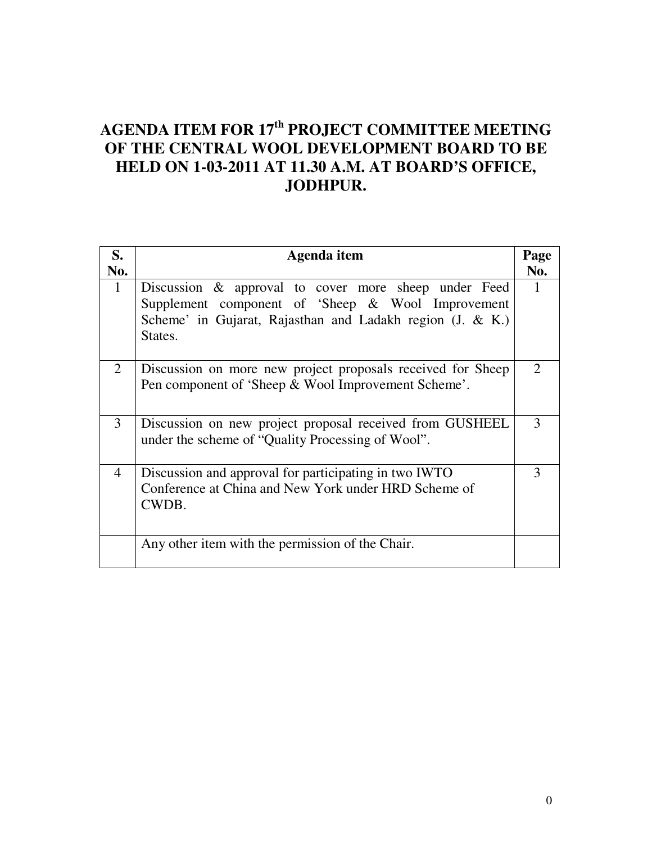# **AGENDA ITEM FOR 17th PROJECT COMMITTEE MEETING OF THE CENTRAL WOOL DEVELOPMENT BOARD TO BE HELD ON 1-03-2011 AT 11.30 A.M. AT BOARD'S OFFICE, JODHPUR.**

| S.             | Agenda item                                                                                                                                                                       |     |  |  |
|----------------|-----------------------------------------------------------------------------------------------------------------------------------------------------------------------------------|-----|--|--|
| No.            |                                                                                                                                                                                   | No. |  |  |
| $\mathbf{1}$   | Discussion & approval to cover more sheep under Feed<br>Supplement component of 'Sheep & Wool Improvement<br>Scheme' in Gujarat, Rajasthan and Ladakh region (J. & K.)<br>States. |     |  |  |
| 2              | Discussion on more new project proposals received for Sheep<br>Pen component of 'Sheep & Wool Improvement Scheme'.                                                                |     |  |  |
| 3              | Discussion on new project proposal received from GUSHEEL<br>under the scheme of "Quality Processing of Wool".                                                                     |     |  |  |
| $\overline{4}$ | Discussion and approval for participating in two IWTO<br>Conference at China and New York under HRD Scheme of<br>CWDB.                                                            | 3   |  |  |
|                | Any other item with the permission of the Chair.                                                                                                                                  |     |  |  |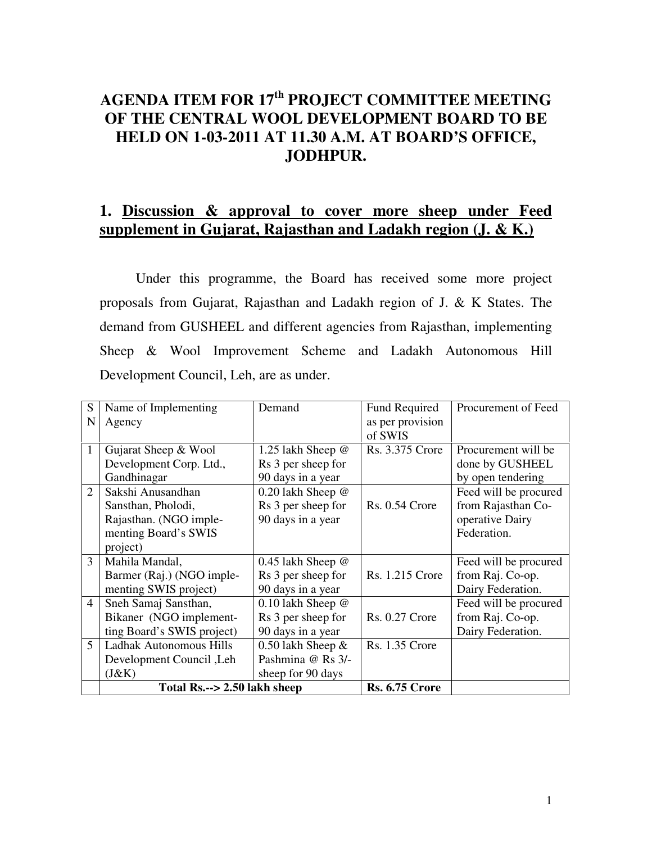## **AGENDA ITEM FOR 17th PROJECT COMMITTEE MEETING OF THE CENTRAL WOOL DEVELOPMENT BOARD TO BE HELD ON 1-03-2011 AT 11.30 A.M. AT BOARD'S OFFICE, JODHPUR.**

#### **1. Discussion & approval to cover more sheep under Feed supplement in Gujarat, Rajasthan and Ladakh region (J. & K.)**

 Under this programme, the Board has received some more project proposals from Gujarat, Rajasthan and Ladakh region of J. & K States. The demand from GUSHEEL and different agencies from Rajasthan, implementing Sheep & Wool Improvement Scheme and Ladakh Autonomous Hill Development Council, Leh, are as under.

|                | Bikaner (NGO implement-    | Rs 3 per sheep for         | <b>Rs. 0.27 Crore</b>  |                       |
|----------------|----------------------------|----------------------------|------------------------|-----------------------|
|                | ting Board's SWIS project) | 90 days in a year          |                        | Dairy Federation.     |
|                |                            |                            |                        | from Raj. Co-op.      |
| $\overline{4}$ | Sneh Samaj Sansthan,       | $0.10$ lakh Sheep $\omega$ |                        | Feed will be procured |
|                | menting SWIS project)      | 90 days in a year          |                        |                       |
|                |                            |                            |                        | Dairy Federation.     |
|                | Barmer (Raj.) (NGO imple-  | Rs 3 per sheep for         | Rs. 1.215 Crore        | from Raj. Co-op.      |
| 3              | Mahila Mandal,             | 0.45 lakh Sheep $\omega$   |                        | Feed will be procured |
|                | project)                   |                            |                        |                       |
|                | menting Board's SWIS       |                            |                        | Federation.           |
|                | Rajasthan. (NGO imple-     | 90 days in a year          |                        | operative Dairy       |
|                | Sansthan, Pholodi,         | Rs 3 per sheep for         | <b>Rs. 0.54 Crore</b>  | from Rajasthan Co-    |
| $\overline{2}$ | Sakshi Anusandhan          | $0.20$ lakh Sheep $\omega$ |                        | Feed will be procured |
|                | Gandhinagar                | 90 days in a year          |                        | by open tendering     |
|                | Development Corp. Ltd.,    | Rs 3 per sheep for         |                        | done by GUSHEEL       |
| 1              | Gujarat Sheep & Wool       | 1.25 lakh Sheep @          | <b>Rs. 3.375 Crore</b> | Procurement will be   |
|                |                            |                            | of SWIS                |                       |
| N              | Agency                     |                            | as per provision       |                       |
| S              | Name of Implementing       | Demand                     | Fund Required          | Procurement of Feed   |
|                |                            |                            |                        |                       |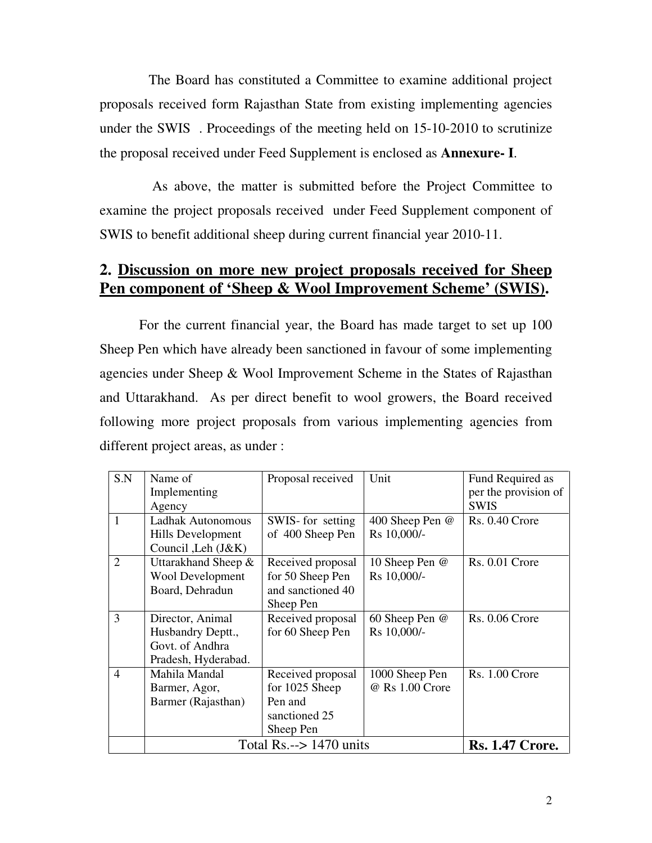The Board has constituted a Committee to examine additional project proposals received form Rajasthan State from existing implementing agencies under the SWIS . Proceedings of the meeting held on 15-10-2010 to scrutinize the proposal received under Feed Supplement is enclosed as **Annexure- I**.

 As above, the matter is submitted before the Project Committee to examine the project proposals received under Feed Supplement component of SWIS to benefit additional sheep during current financial year 2010-11.

#### **2. Discussion on more new project proposals received for Sheep Pen component of 'Sheep & Wool Improvement Scheme' (SWIS).**

 For the current financial year, the Board has made target to set up 100 Sheep Pen which have already been sanctioned in favour of some implementing agencies under Sheep & Wool Improvement Scheme in the States of Rajasthan and Uttarakhand. As per direct benefit to wool growers, the Board received following more project proposals from various implementing agencies from different project areas, as under :

| S.N            | Name of                            | Proposal received | Unit            | Fund Required as       |
|----------------|------------------------------------|-------------------|-----------------|------------------------|
|                | Implementing                       |                   |                 | per the provision of   |
|                | Agency                             |                   |                 | <b>SWIS</b>            |
| $\mathbf{1}$   | Ladhak Autonomous                  | SWIS- for setting | 400 Sheep Pen @ | Rs. 0.40 Crore         |
|                | Hills Development                  | of 400 Sheep Pen  | Rs 10,000/-     |                        |
|                | Council, Leh $(J&K)$               |                   |                 |                        |
| $\overline{2}$ | Uttarakhand Sheep &                | Received proposal | 10 Sheep Pen @  | Rs. 0.01 Crore         |
|                | <b>Wool Development</b>            | for 50 Sheep Pen  | Rs 10,000/-     |                        |
|                | Board, Dehradun                    | and sanctioned 40 |                 |                        |
|                |                                    | Sheep Pen         |                 |                        |
| 3              | Director, Animal                   | Received proposal | 60 Sheep Pen @  | <b>Rs. 0.06 Crore</b>  |
|                | Husbandry Deptt.,                  | for 60 Sheep Pen  | Rs 10,000/-     |                        |
|                | Govt. of Andhra                    |                   |                 |                        |
|                | Pradesh, Hyderabad.                |                   |                 |                        |
| $\overline{4}$ | Mahila Mandal                      | Received proposal | 1000 Sheep Pen  | <b>Rs. 1.00 Crore</b>  |
|                | Barmer, Agor,                      | for 1025 Sheep    | @ Rs 1.00 Crore |                        |
|                | Barmer (Rajasthan)                 | Pen and           |                 |                        |
|                |                                    | sanctioned 25     |                 |                        |
|                |                                    | Sheep Pen         |                 |                        |
|                | Total $Rs. \rightarrow 1470$ units |                   |                 | <b>Rs. 1.47 Crore.</b> |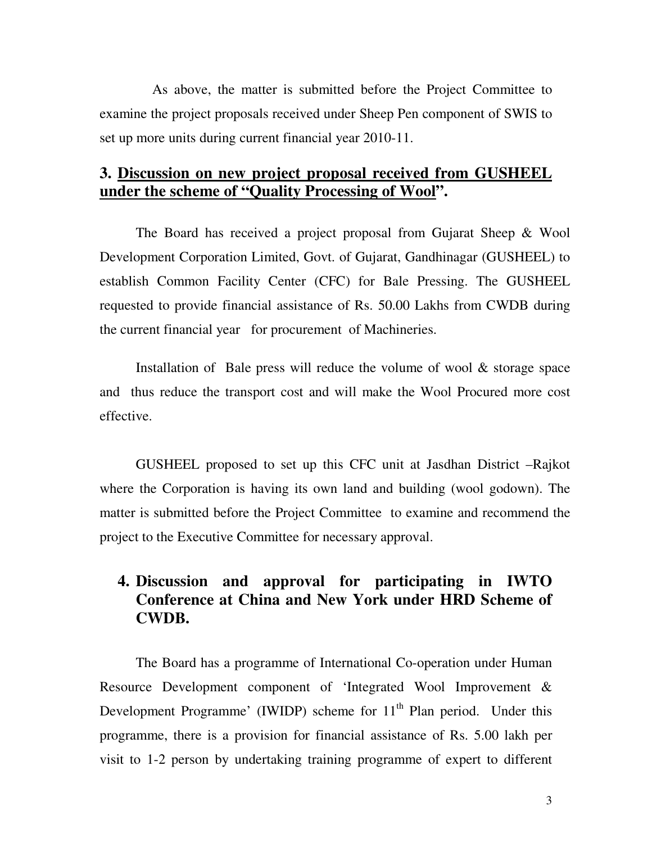As above, the matter is submitted before the Project Committee to examine the project proposals received under Sheep Pen component of SWIS to set up more units during current financial year 2010-11.

#### **3. Discussion on new project proposal received from GUSHEEL under the scheme of "Quality Processing of Wool".**

 The Board has received a project proposal from Gujarat Sheep & Wool Development Corporation Limited, Govt. of Gujarat, Gandhinagar (GUSHEEL) to establish Common Facility Center (CFC) for Bale Pressing. The GUSHEEL requested to provide financial assistance of Rs. 50.00 Lakhs from CWDB during the current financial year for procurement of Machineries.

 Installation of Bale press will reduce the volume of wool & storage space and thus reduce the transport cost and will make the Wool Procured more cost effective.

GUSHEEL proposed to set up this CFC unit at Jasdhan District –Rajkot where the Corporation is having its own land and building (wool godown). The matter is submitted before the Project Committee to examine and recommend the project to the Executive Committee for necessary approval.

### **4. Discussion and approval for participating in IWTO Conference at China and New York under HRD Scheme of CWDB.**

The Board has a programme of International Co-operation under Human Resource Development component of 'Integrated Wool Improvement & Development Programme' (IWIDP) scheme for  $11<sup>th</sup>$  Plan period. Under this programme, there is a provision for financial assistance of Rs. 5.00 lakh per visit to 1-2 person by undertaking training programme of expert to different